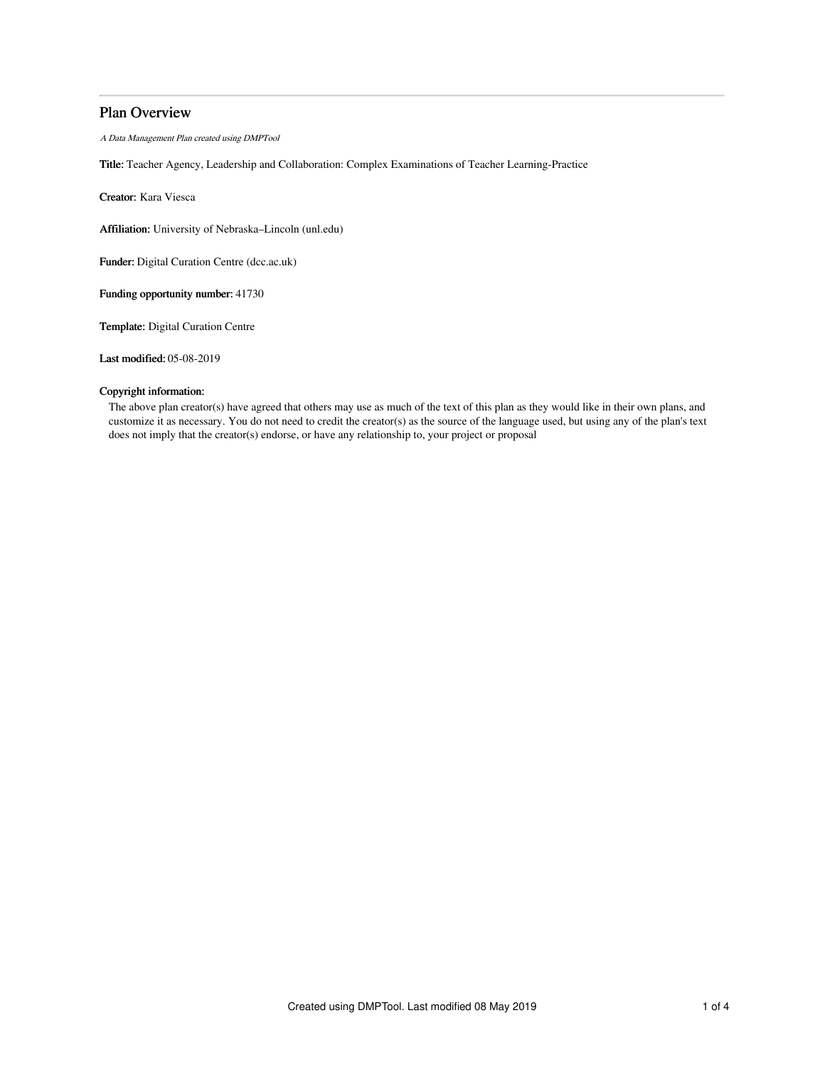# Plan Overview

A Data Management Plan created using DMPTool

Title: Teacher Agency, Leadership and Collaboration: Complex Examinations of Teacher Learning-Practice

Creator: Kara Viesca

Affiliation: University of Nebraska–Lincoln (unl.edu)

Funder: Digital Curation Centre (dcc.ac.uk)

Funding opportunity number: 41730

Template: Digital Curation Centre

Last modified: 05-08-2019

# Copyright information:

The above plan creator(s) have agreed that others may use as much of the text of this plan as they would like in their own plans, and customize it as necessary. You do not need to credit the creator(s) as the source of the language used, but using any of the plan's text does not imply that the creator(s) endorse, or have any relationship to, your project or proposal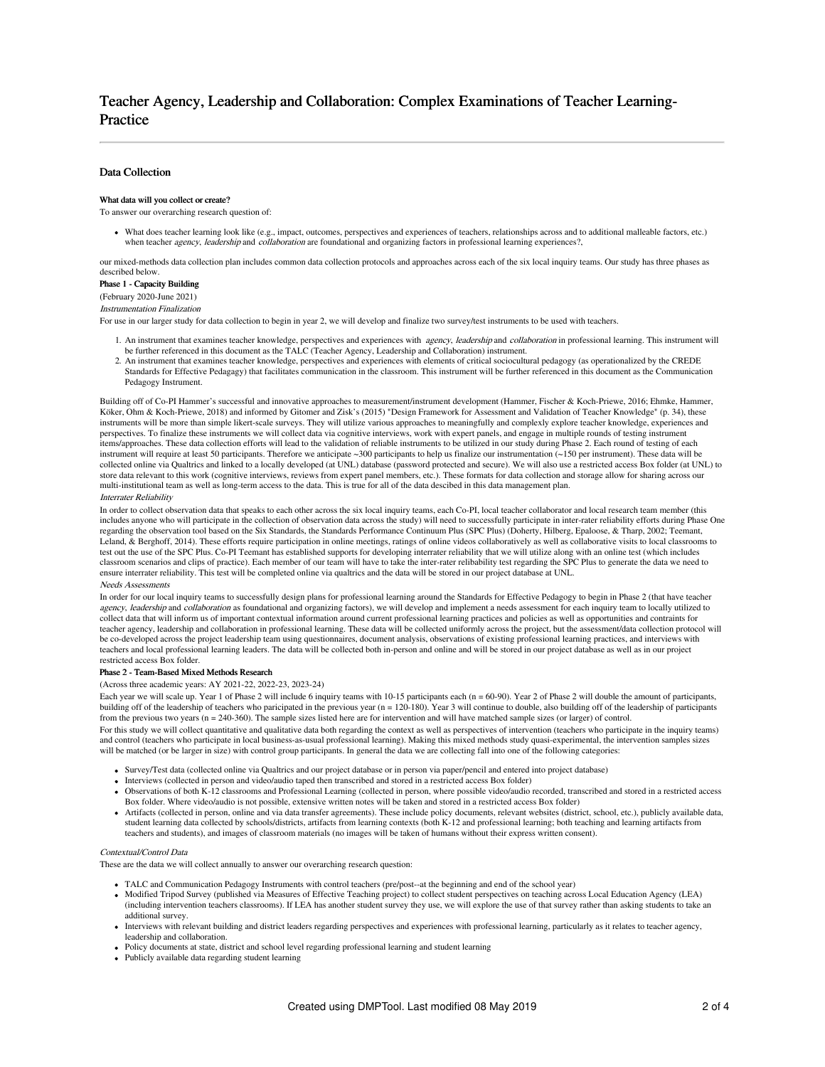# Teacher Agency, Leadership and Collaboration: Complex Examinations of Teacher Learning-Practice

# Data Collection

## What data will you collect or create?

To answer our overarching research question of:

What does teacher learning look like (e.g., impact, outcomes, perspectives and experiences of teachers, relationships across and to additional malleable factors, etc.) when teacher *agency*, *leadership* and *collaboration* are foundational and organizing factors in professional learning experiences?,

our mixed-methods data collection plan includes common data collection protocols and approaches across each of the six local inquiry teams. Our study has three phases as described below.

Phase 1 - Capacity Building (February 2020-June 2021)

Instrumentation Finalization

For use in our larger study for data collection to begin in year 2, we will develop and finalize two survey/test instruments to be used with teachers.

- 1. An instrument that examines teacher knowledge, perspectives and experiences with agency, leadership and collaboration in professional learning. This instrument will be further referenced in this document as the TALC (Teacher Agency, Leadership and Collaboration) instrument.
- 2. An instrument that examines teacher knowledge, perspectives and experiences with elements of critical sociocultural pedagogy (as operationalized by the CREDE Standards for Effective Pedagagy) that facilitates communication in the classroom. This instrument will be further referenced in this document as the Communication Pedagogy Instrument.

Building off of Co-PI Hammer's successful and innovative approaches to measurement/instrument development (Hammer, Fischer & Koch-Priewe, 2016; Ehmke, Hammer, Köker, Ohm & Koch-Priewe, 2018) and informed by Gitomer and Zisk's (2015) "Design Framework for Assessment and Validation of Teacher Knowledge" (p. 34), these instruments will be more than simple likert-scale surveys. They will utilize various approaches to meaningfully and complexly explore teacher knowledge, experiences and perspectives. To finalize these instruments we will collect data via cognitive interviews, work with expert panels, and engage in multiple rounds of testing instrument items/approaches. These data collection efforts will lead to the validation of reliable instruments to be utilized in our study during Phase 2. Each round of testing of each instrument will require at least 50 participants. Therefore we anticipate ~300 participants to help us finalize our instrumentation (~150 per instrument). These data will be collected online via Qualtrics and linked to a locally developed (at UNL) database (password protected and secure). We will also use a restricted access Box folder (at UNL) to store data relevant to this work (cognitive interviews, reviews from expert panel members, etc.). These formats for data collection and storage allow for sharing across our multi-institutional team as well as long-term access to the data. This is true for all of the data descibed in this data management plan.

#### Interrater Reliability

In order to collect observation data that speaks to each other across the six local inquiry teams, each Co-PI, local teacher collaborator and local research team member (this includes anyone who will participate in the collection of observation data across the study) will need to successfully participate in inter-rater reliability efforts during Phase One regarding the observation tool based on the Six Standards, the Standards Performance Continuum Plus (SPC Plus) (Doherty, Hilberg, Epaloose, & Tharp, 2002; Teemant, Leland, & Berghoff, 2014). These efforts require participation in online meetings, ratings of online videos collaboratively as well as collaborative visits to local classrooms to test out the use of the SPC Plus. Co-PI Teemant has established supports for developing interrater reliability that we will utilize along with an online test (which includes classroom scenarios and clips of practice). Each member of our team will have to take the inter-rater relibability test regarding the SPC Plus to generate the data we need to ensure interrater reliability. This test will be completed online via qualtrics and the data will be stored in our project database at UNL. Needs Assessments

In order for our local inquiry teams to successfully design plans for professional learning around the Standards for Effective Pedagogy to begin in Phase 2 (that have teacher agency, leadership and collaboration as foundational and organizing factors), we will develop and implement a needs assessment for each inquiry team to locally utilized to collect data that will inform us of important contextual information around current professional learning practices and policies as well as opportunities and contraints for teacher agency, leadership and collaboration in professional learning. These data will be collected uniformly across the project, but the assessment/data collection protocol will be co-developed across the project leadership team using questionnaires, document analysis, observations of existing professional learning practices, and interviews with teachers and local professional learning leaders. The data will be collected both in-person and online and will be stored in our project database as well as in our project restricted access Box folder.

#### Phase 2 - Team-Based Mixed Methods Research

(Across three academic years: AY 2021-22, 2022-23, 2023-24)

Each year we will scale up. Year 1 of Phase 2 will include 6 inquiry teams with 10-15 participants each (n = 60-90). Year 2 of Phase 2 will double the amount of participants, building off of the leadership of teachers who paricipated in the previous year (n = 120-180). Year 3 will continue to double, also building off of the leadership of participants from the previous two years (n = 240-360). The sample sizes listed here are for intervention and will have matched sample sizes (or larger) of control.

For this study we will collect quantitative and qualitative data both regarding the context as well as perspectives of intervention (teachers who participate in the inquiry teams) and control (teachers who participate in local business-as-usual professional learning). Making this mixed methods study quasi-experimental, the intervention samples sizes will be matched (or be larger in size) with control group participants. In general the data we are collecting fall into one of the following categories:

- Survey/Test data (collected online via Qualtrics and our project database or in person via paper/pencil and entered into project database)
- Interviews (collected in person and video/audio taped then transcribed and stored in a restricted access Box folder)
- Observations of both K-12 classrooms and Professional Learning (collected in person, where possible video/audio recorded, transcribed and stored in a restricted access Box folder. Where video/audio is not possible, extensive written notes will be taken and stored in a restricted access Box folder)
- Artifacts (collected in person, online and via data transfer agreements). These include policy documents, relevant websites (district, school, etc.), publicly available data, student learning data collected by schools/districts, artifacts from learning contexts (both K-12 and professional learning; both teaching and learning artifacts from teachers and students), and images of classroom materials (no images will be taken of humans without their express written consent).

### Contextual/Control Data

These are the data we will collect annually to answer our overarching research question:

- TALC and Communication Pedagogy Instruments with control teachers (pre/post--at the beginning and end of the school year)
- Modified Tripod Survey (published via Measures of Effective Teaching project) to collect student perspectives on teaching across Local Education Agency (LEA) (including intervention teachers classrooms). If LEA has another student survey they use, we will explore the use of that survey rather than asking students to take an additional survey.
- Interviews with relevant building and district leaders regarding perspectives and experiences with professional learning, particularly as it relates to teacher agency, leadership and collaboration.
- Policy documents at state, district and school level regarding professional learning and student learning
- Publicly available data regarding student learning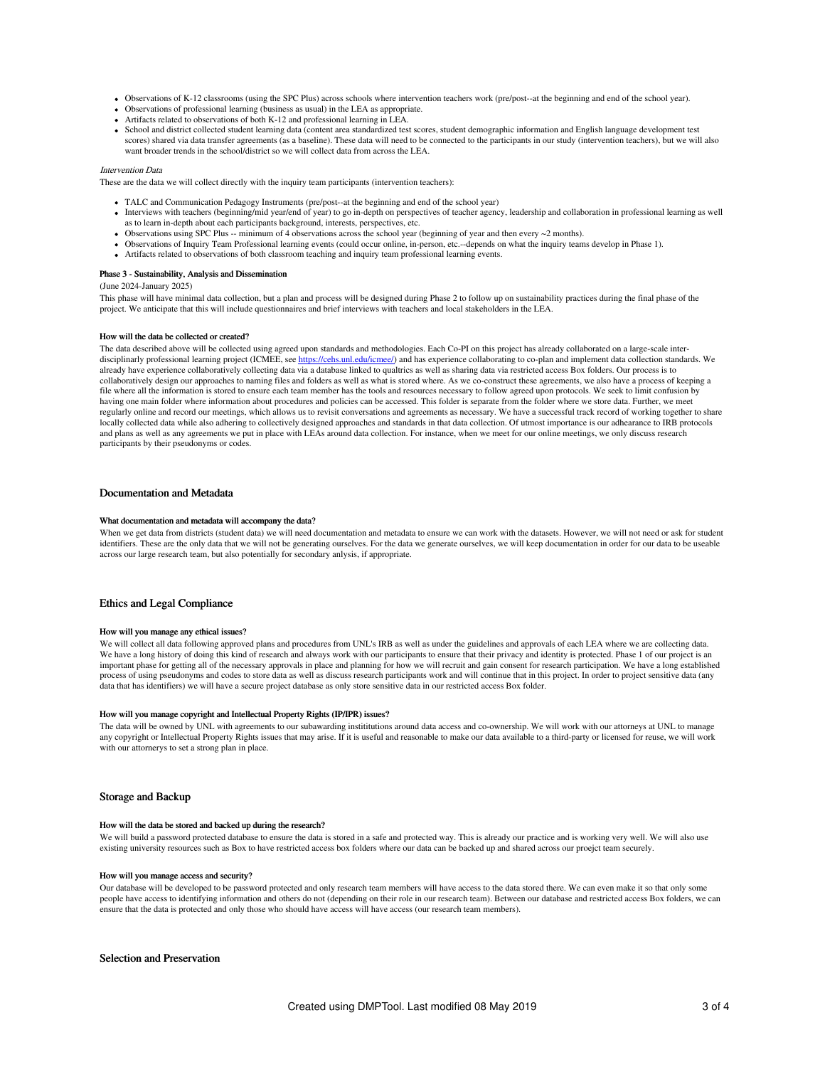- Observations of K-12 classrooms (using the SPC Plus) across schools where intervention teachers work (pre/post--at the beginning and end of the school year).
- Observations of professional learning (business as usual) in the LEA as appropriate.
- Artifacts related to observations of both K-12 and professional learning in LEA.
- School and district collected student learning data (content area standardized test scores, student demographic information and English language development test scores) shared via data transfer agreements (as a baseline). These data will need to be connected to the participants in our study (intervention teachers), but we will also want broader trends in the school/district so we will collect data from across the LEA.

#### Intervention Data

These are the data we will collect directly with the inquiry team participants (intervention teachers):

- TALC and Communication Pedagogy Instruments (pre/post--at the beginning and end of the school year)
- Interviews with teachers (beginning/mid year/end of year) to go in-depth on perspectives of teacher agency, leadership and collaboration in professional learning as well as to learn in-depth about each participants background, interests, perspectives, etc.
- $\bullet$  Observations using SPC Plus -- minimum of 4 observations across the school year (beginning of year and then every  $\sim$  2 months).
- Observations of Inquiry Team Professional learning events (could occur online, in-person, etc.--depends on what the inquiry teams develop in Phase 1).
- Artifacts related to observations of both classroom teaching and inquiry team professional learning events.

#### Phase 3 - Sustainability, Analysis and Dissemination

(June 2024-January 2025)

This phase will have minimal data collection, but a plan and process will be designed during Phase 2 to follow up on sustainability practices during the final phase of the project. We anticipate that this will include questionnaires and brief interviews with teachers and local stakeholders in the LEA.

#### How will the data be collected or created?

The data described above will be collected using agreed upon standards and methodologies. Each Co-PI on this project has already collaborated on a large-scale interdisciplinarly professional learning project (ICMEE, see <https://cehs.unl.edu/icmee/>) and has experience collaborating to co-plan and implement data collection standards. We already have experience collaboratively collecting data via a database linked to qualtrics as well as sharing data via restricted access Box folders. Our process is to collaboratively design our approaches to naming files and folders as well as what is stored where. As we co-construct these agreements, we also have a process of keeping a file where all the information is stored to ensure each team member has the tools and resources necessary to follow agreed upon protocols. We seek to limit confusion by having one main folder where information about procedures and policies can be accessed. This folder is separate from the folder where we store data. Further, we meet regularly online and record our meetings, which allows us to revisit conversations and agreements as necessary. We have a successful track record of working together to share locally collected data while also adhering to collectively designed approaches and standards in that data collection. Of utmost importance is our adhearance to IRB protocols and plans as well as any agreements we put in place with LEAs around data collection. For instance, when we meet for our online meetings, we only discuss research participants by their pseudonyms or codes.

## Documentation and Metadata

#### What documentation and metadata will accompany the data?

When we get data from districts (student data) we will need documentation and metadata to ensure we can work with the datasets. However, we will not need or ask for student identifiers. These are the only data that we will not be generating ourselves. For the data we generate ourselves, we will keep documentation in order for our data to be useable across our large research team, but also potentially for secondary anlysis, if appropriate.

#### Ethics and Legal Compliance

#### How will you manage any ethical issues?

We will collect all data following approved plans and procedures from UNL's IRB as well as under the guidelines and approvals of each LEA where we are collecting data. We have a long history of doing this kind of research and always work with our participants to ensure that their privacy and identity is protected. Phase 1 of our project is an important phase for getting all of the necessary approvals in place and planning for how we will recruit and gain consent for research participation. We have a long established process of using pseudonyms and codes to store data as well as discuss research participants work and will continue that in this project. In order to project sensitive data (any data that has identifiers) we will have a secure project database as only store sensitive data in our restricted access Box folder.

#### How will you manage copyright and Intellectual Property Rights (IP/IPR) issues?

The data will be owned by UNL with agreements to our subawarding instititutions around data access and co-ownership. We will work with our attorneys at UNL to manage any copyright or Intellectual Property Rights issues that may arise. If it is useful and reasonable to make our data available to a third-party or licensed for reuse, we will work with our attornerys to set a strong plan in place.

### Storage and Backup

#### How will the data be stored and backed up during the research?

We will build a password protected database to ensure the data is stored in a safe and protected way. This is already our practice and is working very well. We will also use existing university resources such as Box to have restricted access box folders where our data can be backed up and shared across our proejct team securely.

#### How will you manage access and security?

Our database will be developed to be password protected and only research team members will have access to the data stored there. We can even make it so that only some people have access to identifying information and others do not (depending on their role in our research team). Between our database and restricted access Box folders, we can ensure that the data is protected and only those who should have access will have access (our research team members).

# Selection and Preservation